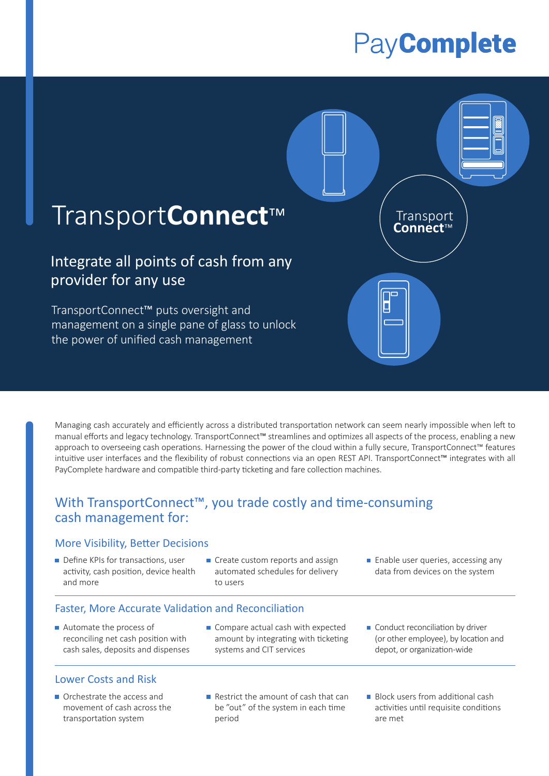# PayComplete



Managing cash accurately and efficiently across a distributed transportation network can seem nearly impossible when left to manual efforts and legacy technology. TransportConnect™ streamlines and optimizes all aspects of the process, enabling a new approach to overseeing cash operations. Harnessing the power of the cloud within a fully secure, TransportConnect™ features intuitive user interfaces and the flexibility of robust connections via an open REST API. TransportConnect™ integrates with all PayComplete hardware and compatible third-party ticketing and fare collection machines.

## With TransportConnect™, you trade costly and time-consuming cash management for:

## More Visibility, Better Decisions

- Define KPIs for transactions, user activity, cash position, device health and more
- Create custom reports and assign automated schedules for delivery to users
- **Enable user queries, accessing any** data from devices on the system

## Faster, More Accurate Validation and Reconciliation

■ Automate the process of reconciling net cash position with cash sales, deposits and dispenses

#### Lower Costs and Risk

- Orchestrate the access and movement of cash across the transportation system
- Compare actual cash with expected amount by integrating with ticketing systems and CIT services
- Conduct reconciliation by driver (or other employee), by location and depot, or organization-wide
- Restrict the amount of cash that can be "out" of the system in each time period
- **Block users from additional cash** activities until requisite conditions are met